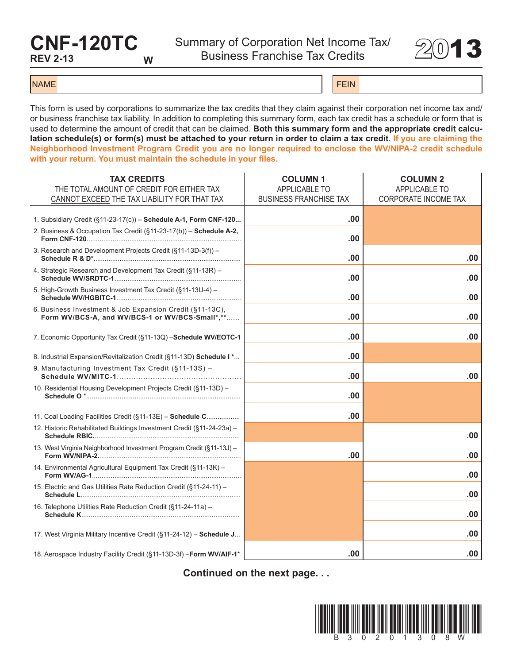## **CNF-120TC REV 2-13 W**

Summary of Corporation Net Income Tax/ mary or Corporation Net income Tax  $2013$ 



NAME FEIN AND RESERVE THE SERVE THAT IS A REPORT OF THE SERVE THAT IS A REPORT OF THE SERVE THAT IS A REPORT OF THE SERVE THAT IS A REPORT OF THE SERVE THAT IS A REPORT OF THE SERVE THAT IS A REPORT OF THE SERVE THAT IS A

This form is used by corporations to summarize the tax credits that they claim against their corporation net income tax and/ or business franchise tax liability. In addition to completing this summary form, each tax credit has a schedule or form that is used to determine the amount of credit that can be claimed. **Both this summary form and the appropriate credit calculation schedule(s) or form(s) must be attached to your return in order to claim a tax credit**. **If you are claiming the Neighborhood Investment Program Credit you are no longer required to enclose the WV/NIPA-2 credit schedule with your return. You must maintain the schedule in your files.**

| <b>TAX CREDITS</b>                                                                                          | <b>COLUMN1</b>                | <b>COLUMN 2</b>             |
|-------------------------------------------------------------------------------------------------------------|-------------------------------|-----------------------------|
| THE TOTAL AMOUNT OF CREDIT FOR EITHER TAX                                                                   | APPLICABLE TO                 | APPLICABLE TO               |
| CANNOT EXCEED THE TAX LIABILITY FOR THAT TAX                                                                | <b>BUSINESS FRANCHISE TAX</b> | <b>CORPORATE INCOME TAX</b> |
|                                                                                                             |                               |                             |
| 1. Subsidiary Credit (§11-23-17(c)) - Schedule A-1, Form CNF-120                                            | .00                           |                             |
| 2. Business & Occupation Tax Credit (§11-23-17(b)) - Schedule A-2,                                          | .00                           |                             |
| 3. Research and Development Projects Credit (§11-13D-3(f)) -                                                | .00                           | .00                         |
| 4. Strategic Research and Development Tax Credit (§11-13R) -                                                | .00                           | .00                         |
| 5. High-Growth Business Investment Tax Credit (§11-13U-4) -                                                 | .00                           | .00                         |
| 6. Business Investment & Job Expansion Credit (§11-13C),<br>Form WV/BCS-A, and WV/BCS-1 or WV/BCS-Small*,** | .00                           | .00                         |
|                                                                                                             |                               |                             |
| 7. Economic Opportunity Tax Credit (§11-13Q) -Schedule WV/EOTC-1                                            | .00                           | .00                         |
|                                                                                                             |                               |                             |
| 8. Industrial Expansion/Revitalization Credit (§11-13D) Schedule I *                                        | .00                           |                             |
| 9. Manufacturing Investment Tax Credit (§11-13S) -                                                          | .00                           | .00                         |
| 10. Residential Housing Development Projects Credit (§11-13D) -                                             | .00                           |                             |
|                                                                                                             |                               |                             |
| 11. Coal Loading Facilities Credit (§11-13E) - Schedule C                                                   | .00                           |                             |
| 12. Historic Rehabilitated Buildings Investment Credit (§11-24-23a) -                                       |                               | .00                         |
| 13. West Virginia Neighborhood Investment Program Credit (§11-13J) -                                        | .00                           | .00                         |
| 14. Environmental Agricultural Equipment Tax Credit (§11-13K) -                                             |                               | .00                         |
| 15. Electric and Gas Utilities Rate Reduction Credit (§11-24-11) -                                          |                               | .00                         |
| 16. Telephone Utilities Rate Reduction Credit (§11-24-11a) -                                                |                               | .00                         |
|                                                                                                             |                               |                             |
| 17. West Virginia Military Incentive Credit (§11-24-12) - Schedule J                                        |                               | .00                         |
| 18. Aerospace Industry Facility Credit (§11-13D-3f) - Form WV/AIF-1*                                        | .00                           | .00                         |

**Continued on the next page. . .**